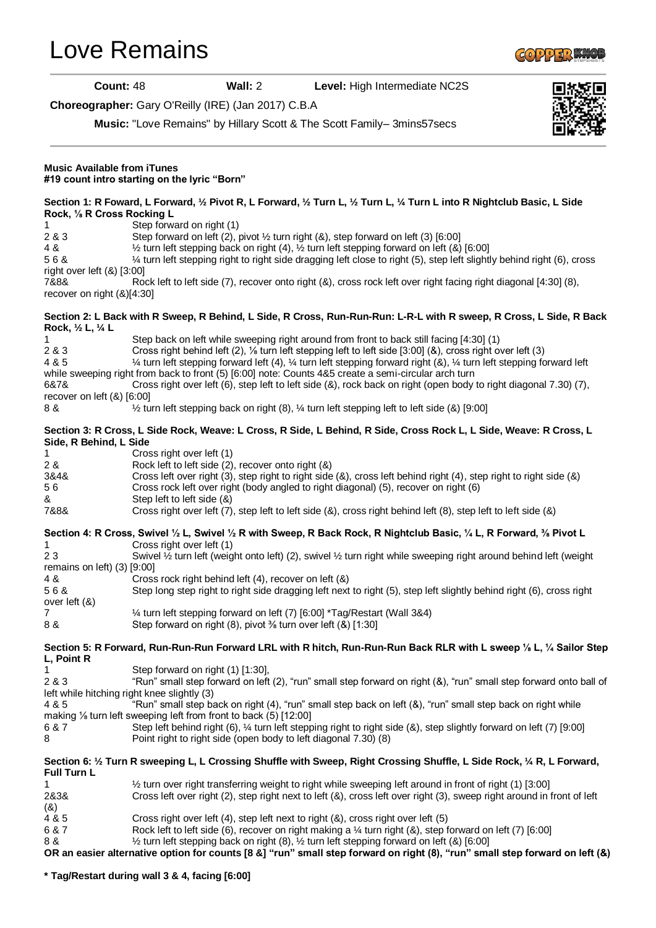[Love Remains](stepsheets/love-remains-ID116055.aspx)



**Count:** 48 **Wall:** 2 **Level:** High Intermediate NC2S

**Choreographer:** Gary O'Reilly (IRE) (Jan 2017) C.B.A

**Music:** "Love Remains" by Hillary Scott & The Scott Family– 3mins57secs



| <b>Music Available from iTunes</b><br>#19 count intro starting on the lyric "Born" |                                                                                                                                                                                                                                                                                                                                                                                                                                                                                                                                                                |
|------------------------------------------------------------------------------------|----------------------------------------------------------------------------------------------------------------------------------------------------------------------------------------------------------------------------------------------------------------------------------------------------------------------------------------------------------------------------------------------------------------------------------------------------------------------------------------------------------------------------------------------------------------|
| Rock, 1/8 R Cross Rocking L<br>1                                                   | Section 1: R Foward, L Forward, 1/2 Pivot R, L Forward, 1/2 Turn L, 1/2 Turn L, 1/4 Turn L into R Nightclub Basic, L Side<br>Step forward on right (1)                                                                                                                                                                                                                                                                                                                                                                                                         |
| 2 & 3<br>4 &<br>56&<br>right over left $(8)$ [3:00]                                | Step forward on left (2), pivot $\frac{1}{2}$ turn right (&), step forward on left (3) [6:00]<br>$\frac{1}{2}$ turn left stepping back on right (4), $\frac{1}{2}$ turn left stepping forward on left (8) [6:00]<br>1/4 turn left stepping right to right side dragging left close to right (5), step left slightly behind right (6), cross                                                                                                                                                                                                                    |
| 7&8&<br>recover on right (&)[4:30]                                                 | Rock left to left side (7), recover onto right (&), cross rock left over right facing right diagonal [4:30] (8),                                                                                                                                                                                                                                                                                                                                                                                                                                               |
| Rock, 1/2 L, 1/4 L                                                                 | Section 2: L Back with R Sweep, R Behind, L Side, R Cross, Run-Run-Run: L-R-L with R sweep, R Cross, L Side, R Back                                                                                                                                                                                                                                                                                                                                                                                                                                            |
| 1<br>2 & 3<br>4 & 5<br>6&7&<br>recover on left (&) [6:00]                          | Step back on left while sweeping right around from front to back still facing [4:30] (1)<br>Cross right behind left (2), 1/8 turn left stepping left to left side [3:00] (&), cross right over left (3)<br>1/4 turn left stepping forward left (4), 1/4 turn left stepping forward right (&), 1/4 turn left stepping forward left<br>while sweeping right from back to front (5) [6:00] note: Counts 4&5 create a semi-circular arch turn<br>Cross right over left (6), step left to left side (8), rock back on right (open body to right diagonal 7.30) (7), |
| 8 &                                                                                | $\frac{1}{2}$ turn left stepping back on right (8), $\frac{1}{4}$ turn left stepping left to left side (8) [9:00]                                                                                                                                                                                                                                                                                                                                                                                                                                              |
| Side, R Behind, L Side                                                             | Section 3: R Cross, L Side Rock, Weave: L Cross, R Side, L Behind, R Side, Cross Rock L, L Side, Weave: R Cross, L                                                                                                                                                                                                                                                                                                                                                                                                                                             |
| 1<br>2 &                                                                           | Cross right over left (1)<br>Rock left to left side (2), recover onto right (&)                                                                                                                                                                                                                                                                                                                                                                                                                                                                                |
| 3&4&<br>56                                                                         | Cross left over right (3), step right to right side (&), cross left behind right (4), step right to right side (&)<br>Cross rock left over right (body angled to right diagonal) (5), recover on right (6)                                                                                                                                                                                                                                                                                                                                                     |
| &<br>7&8&                                                                          | Step left to left side (&)<br>Cross right over left (7), step left to left side (&), cross right behind left (8), step left to left side (&)                                                                                                                                                                                                                                                                                                                                                                                                                   |
|                                                                                    | Section 4: R Cross, Swivel 1/2 L, Swivel 1/2 R with Sweep, R Back Rock, R Nightclub Basic, 1/4 L, R Forward, 1/8 Pivot L                                                                                                                                                                                                                                                                                                                                                                                                                                       |
| 1<br>23<br>remains on left) $(3)$ $[9:00]$                                         | Cross right over left (1)<br>Swivel 1/2 turn left (weight onto left) (2), swivel 1/2 turn right while sweeping right around behind left (weight                                                                                                                                                                                                                                                                                                                                                                                                                |
| 4 &<br>56&<br>over left (&)                                                        | Cross rock right behind left (4), recover on left (&)<br>Step long step right to right side dragging left next to right (5), step left slightly behind right (6), cross right                                                                                                                                                                                                                                                                                                                                                                                  |
| $\overline{7}$<br>8 &                                                              | 1/4 turn left stepping forward on left (7) [6:00] *Tag/Restart (Wall 3&4)<br>Step forward on right (8), pivot 3/8 turn over left (&) [1:30]                                                                                                                                                                                                                                                                                                                                                                                                                    |
| L, Point R                                                                         | Section 5: R Forward, Run-Run-Run Forward LRL with R hitch, Run-Run-Run Back RLR with L sweep 1/8 L, 1/4 Sailor Step                                                                                                                                                                                                                                                                                                                                                                                                                                           |
| 1<br>2 & 3                                                                         | Step forward on right (1) [1:30],<br>"Run" small step forward on left (2), "run" small step forward on right (&), "run" small step forward onto ball of<br>left while hitching right knee slightly (3)                                                                                                                                                                                                                                                                                                                                                         |
| 4 & 5                                                                              | "Run" small step back on right (4), "run" small step back on left (&), "run" small step back on right while<br>making 1/ <sub>8</sub> turn left sweeping left from front to back (5) [12:00]                                                                                                                                                                                                                                                                                                                                                                   |
| 6 & 7<br>8                                                                         | Step left behind right (6), 1/4 turn left stepping right to right side (&), step slightly forward on left (7) [9:00]<br>Point right to right side (open body to left diagonal 7.30) (8)                                                                                                                                                                                                                                                                                                                                                                        |
| Full Turn L                                                                        | Section 6: 1/2 Turn R sweeping L, L Crossing Shuffle with Sweep, Right Crossing Shuffle, L Side Rock, 1/4 R, L Forward,                                                                                                                                                                                                                                                                                                                                                                                                                                        |
| 1                                                                                  | 15:00] turn over right transferring weight to right while sweeping left around in front of right (1)                                                                                                                                                                                                                                                                                                                                                                                                                                                           |
| 2&3&<br>(8)                                                                        | Cross left over right (2), step right next to left (&), cross left over right (3), sweep right around in front of left                                                                                                                                                                                                                                                                                                                                                                                                                                         |
| 4 & 5<br>6 & 7                                                                     | Cross right over left (4), step left next to right (&), cross right over left (5)<br>Rock left to left side (6), recover on right making a 1/4 turn right (&), step forward on left (7) [6:00]                                                                                                                                                                                                                                                                                                                                                                 |
| 8 &                                                                                | 1/2 turn left stepping back on right (8), 1/2 turn left stepping forward on left (&) [6:00]                                                                                                                                                                                                                                                                                                                                                                                                                                                                    |
|                                                                                    | OR an easier alternative option for counts [8 &] "run" small step forward on right (8), "run" small step forward on left (&)                                                                                                                                                                                                                                                                                                                                                                                                                                   |

**\* Tag/Restart during wall 3 & 4, facing [6:00]**